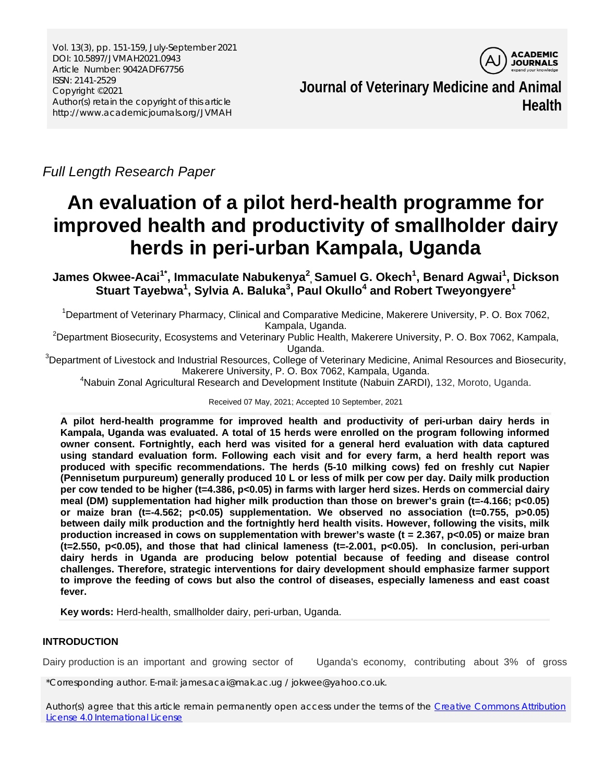Vol. 13(3), pp. 151-159, July-September 2021 DOI: 10.5897/JVMAH2021.0943 Article Number: 9042ADF67756 ISSN: 2141-2529 Copyright ©2021 Author(s) retain the copyright of this article http://www.academicjournals.org/JVMAH



**Journal of Veterinary Medicine and Animal Health**

*Full Length Research Paper*

# **An evaluation of a pilot herd-health programme for improved health and productivity of smallholder dairy herds in peri-urban Kampala, Uganda**

**James Okwee-Acai1\* , Immaculate Nabukenya2 , Samuel G. Okech1 , Benard Agwai1 , Dickson Stuart Tayebwa1 , Sylvia A. Baluka3 , Paul Okullo4 and Robert Tweyongyere1**

<sup>1</sup>Department of Veterinary Pharmacy, Clinical and Comparative Medicine, Makerere University, P. O. Box 7062,

Kampala, Uganda.<br>Department Biosecurity, Ecosystems and Veterinary Public Health, Makerere University, P. O. Box 7062, Kampala,

Uganda. <sup>3</sup> Department of Livestock and Industrial Resources, College of Veterinary Medicine, Animal Resources and Biosecurity, Makerere University, P. O. Box 7062, Kampala, Uganda.

4 Nabuin Zonal Agricultural Research and Development Institute (Nabuin ZARDI), 132, Moroto, Uganda.

Received 07 May, 2021; Accepted 10 September, 2021

**A pilot herd-health programme for improved health and productivity of peri-urban dairy herds in Kampala, Uganda was evaluated. A total of 15 herds were enrolled on the program following informed owner consent. Fortnightly, each herd was visited for a general herd evaluation with data captured using standard evaluation form. Following each visit and for every farm, a herd health report was produced with specific recommendations. The herds (5-10 milking cows) fed on freshly cut Napier (Pennisetum purpureum) generally produced 10 L or less of milk per cow per day. Daily milk production per cow tended to be higher (t=4.386, p<0.05) in farms with larger herd sizes. Herds on commercial dairy meal (DM) supplementation had higher milk production than those on brewer's grain (t=-4.166; p<0.05) or maize bran (t=-4.562; p<0.05) supplementation. We observed no association (t=0.755, p>0.05) between daily milk production and the fortnightly herd health visits. However, following the visits, milk production increased in cows on supplementation with brewer's waste (t = 2.367, p<0.05) or maize bran (t=2.550, p<0.05), and those that had clinical lameness (t=-2.001, p<0.05). In conclusion, peri-urban dairy herds in Uganda are producing below potential because of feeding and disease control challenges. Therefore, strategic interventions for dairy development should emphasize farmer support to improve the feeding of cows but also the control of diseases, especially lameness and east coast fever.** 

**Key words:** Herd-health, smallholder dairy, peri-urban, Uganda.

# **INTRODUCTION**

Dairy production is an important and growing sector of Uganda's economy, contributing about 3% of gross

\*Corresponding author. E-mail: james.acai@mak.ac.ug / jokwee@yahoo.co.uk.

Author(s) agree that this article remain permanently open access under the terms of the Creative Commons Attribution [License 4.0 International License](http://creativecommons.org/licenses/by/4.0/deed.en_US)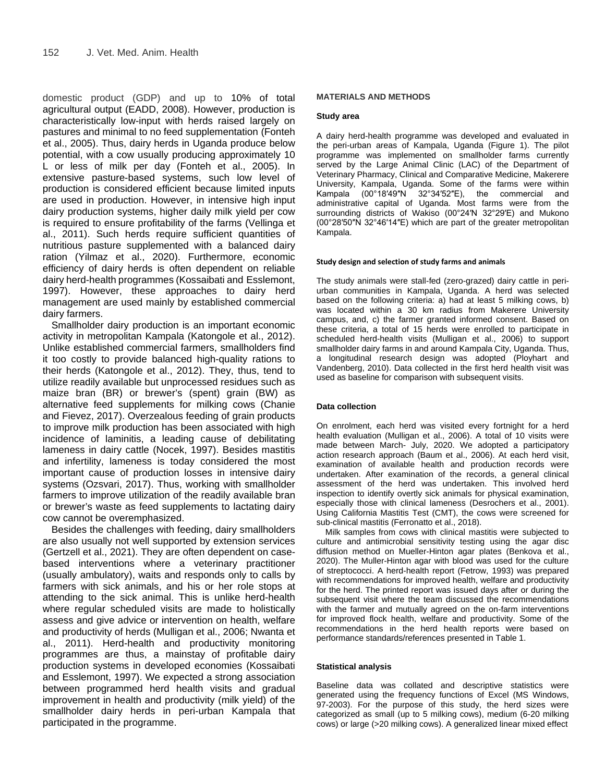domestic product (GDP) and up to 10% of total agricultural output (EADD, 2008). However, production is characteristically low-input with herds raised largely on pastures and minimal to no feed supplementation (Fonteh et al., 2005). Thus, dairy herds in Uganda produce below potential, with a cow usually producing approximately 10 L or less of milk per day (Fonteh et al., 2005). In extensive pasture-based systems, such low level of production is considered efficient because limited inputs are used in production. However, in intensive high input dairy production systems, higher daily milk yield per cow is required to ensure profitability of the farms (Vellinga et al., 2011). Such herds require sufficient quantities of nutritious pasture supplemented with a balanced dairy ration (Yilmaz et al., 2020). Furthermore, economic efficiency of dairy herds is often dependent on reliable dairy herd-health programmes (Kossaibati and Esslemont, 1997). However, these approaches to dairy herd management are used mainly by established commercial dairy farmers.

Smallholder dairy production is an important economic activity in metropolitan Kampala (Katongole et al., 2012). Unlike established commercial farmers, smallholders find it too costly to provide balanced high-quality rations to their herds (Katongole et al., 2012). They, thus, tend to utilize readily available but unprocessed residues such as maize bran (BR) or brewer's (spent) grain (BW) as alternative feed supplements for milking cows (Chanie and Fievez, 2017). Overzealous feeding of grain products to improve milk production has been associated with high incidence of laminitis, a leading cause of debilitating lameness in dairy cattle (Nocek, 1997). Besides mastitis and infertility, lameness is today considered the most important cause of production losses in intensive dairy systems (Ozsvari, 2017). Thus, working with smallholder farmers to improve utilization of the readily available bran or brewer's waste as feed supplements to lactating dairy cow cannot be overemphasized.

Besides the challenges with feeding, dairy smallholders are also usually not well supported by extension services (Gertzell et al., 2021). They are often dependent on casebased interventions where a veterinary practitioner (usually ambulatory), waits and responds only to calls by farmers with sick animals, and his or her role stops at attending to the sick animal. This is unlike herd-health where regular scheduled visits are made to holistically assess and give advice or intervention on health, welfare and productivity of herds (Mulligan et al., 2006; Nwanta et al., 2011). Herd-health and productivity monitoring programmes are thus, a mainstay of profitable dairy production systems in developed economies (Kossaibati and Esslemont, 1997). We expected a strong association between programmed herd health visits and gradual improvement in health and productivity (milk yield) of the smallholder dairy herds in peri-urban Kampala that participated in the programme.

#### **MATERIALS AND METHODS**

#### **Study area**

A dairy herd-health programme was developed and evaluated in the peri-urban areas of Kampala, Uganda (Figure 1). The pilot programme was implemented on smallholder farms currently served by the Large Animal Clinic (LAC) of the Department of Veterinary Pharmacy, Clinical and Comparative Medicine, Makerere University, Kampala, Uganda. Some of the farms were within Kampala (00°18′49″N 32°34′52″E), the commercial and administrative capital of Uganda. Most farms were from the surrounding districts of Wakiso (00°24′N 32°29′E) and Mukono (00°28′50″N 32°46′14″E) which are part of the greater metropolitan Kampala.

#### **Study design and selection of study farms and animals**

The study animals were stall-fed (zero-grazed) dairy cattle in periurban communities in Kampala, Uganda. A herd was selected based on the following criteria: a) had at least 5 milking cows, b) was located within a 30 km radius from Makerere University campus, and, c) the farmer granted informed consent. Based on these criteria, a total of 15 herds were enrolled to participate in scheduled herd-health visits (Mulligan et al., 2006) to support smallholder dairy farms in and around Kampala City, Uganda. Thus, a longitudinal research design was adopted (Ployhart and Vandenberg, 2010). Data collected in the first herd health visit was used as baseline for comparison with subsequent visits.

#### **Data collection**

On enrolment, each herd was visited every fortnight for a herd health evaluation (Mulligan et al., 2006). A total of 10 visits were made between March- July, 2020. We adopted a participatory action research approach (Baum et al., 2006). At each herd visit, examination of available health and production records were undertaken. After examination of the records, a general clinical assessment of the herd was undertaken. This involved herd inspection to identify overtly sick animals for physical examination, especially those with clinical lameness (Desrochers et al., 2001). Using California Mastitis Test (CMT), the cows were screened for sub-clinical mastitis (Ferronatto et al., 2018).

Milk samples from cows with clinical mastitis were subjected to culture and antimicrobial sensitivity testing using the agar disc diffusion method on Mueller-Hinton agar plates (Benkova et al., 2020). The Muller-Hinton agar with blood was used for the culture of streptococci. A herd-health report (Fetrow, 1993) was prepared with recommendations for improved health, welfare and productivity for the herd. The printed report was issued days after or during the subsequent visit where the team discussed the recommendations with the farmer and mutually agreed on the on-farm interventions for improved flock health, welfare and productivity. Some of the recommendations in the herd health reports were based on performance standards/references presented in Table 1.

#### **Statistical analysis**

Baseline data was collated and descriptive statistics were generated using the frequency functions of Excel (MS Windows, 97-2003). For the purpose of this study, the herd sizes were categorized as small (up to 5 milking cows), medium (6-20 milking cows) or large (>20 milking cows). A generalized linear mixed effect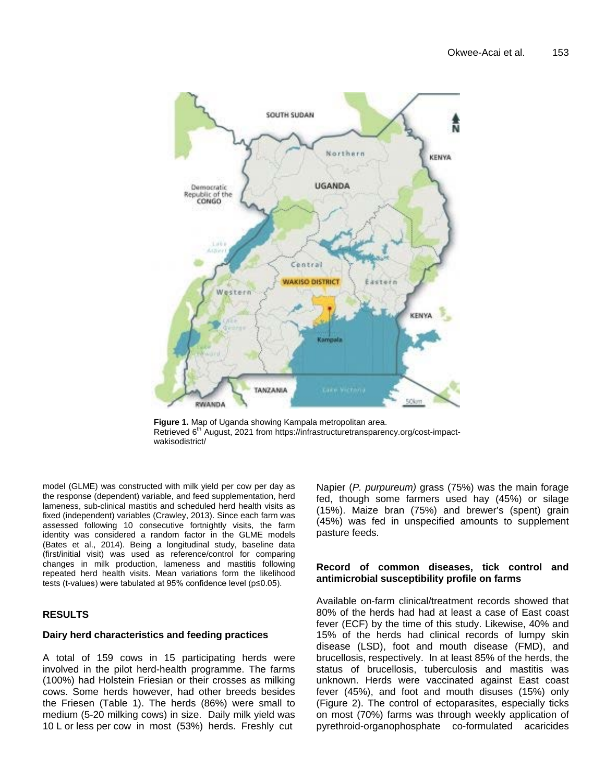

**Figure 1.** Map of Uganda showing Kampala metropolitan area. Retrieved 6<sup>th</sup> August, 2021 from https://infrastructuretransparency.org/cost-impactwakisodistrict/

model (GLME) was constructed with milk yield per cow per day as the response (dependent) variable, and feed supplementation, herd lameness, sub-clinical mastitis and scheduled herd health visits as fixed (independent) variables (Crawley, 2013). Since each farm was assessed following 10 consecutive fortnightly visits, the farm identity was considered a random factor in the GLME models (Bates et al., 2014). Being a longitudinal study, baseline data (first/initial visit) was used as reference/control for comparing changes in milk production, lameness and mastitis following repeated herd health visits. Mean variations form the likelihood tests (t-values) were tabulated at 95% confidence level (p≤0.05).

# **RESULTS**

## **Dairy herd characteristics and feeding practices**

A total of 159 cows in 15 participating herds were involved in the pilot herd-health programme. The farms (100%) had Holstein Friesian or their crosses as milking cows. Some herds however, had other breeds besides the Friesen (Table 1). The herds (86%) were small to medium (5-20 milking cows) in size. Daily milk yield was 10 L or less per cow in most (53%) herds. Freshly cut

Napier (*P. purpureum)* grass (75%) was the main forage fed, though some farmers used hay (45%) or silage (15%). Maize bran (75%) and brewer's (spent) grain (45%) was fed in unspecified amounts to supplement pasture feeds.

## **Record of common diseases, tick control and antimicrobial susceptibility profile on farms**

Available on-farm clinical/treatment records showed that 80% of the herds had had at least a case of East coast fever (ECF) by the time of this study. Likewise, 40% and 15% of the herds had clinical records of lumpy skin disease (LSD), foot and mouth disease (FMD), and brucellosis, respectively. In at least 85% of the herds, the status of brucellosis, tuberculosis and mastitis was unknown. Herds were vaccinated against East coast fever (45%), and foot and mouth disuses (15%) only (Figure 2). The control of ectoparasites, especially ticks on most (70%) farms was through weekly application of pyrethroid-organophosphate co-formulated acaricides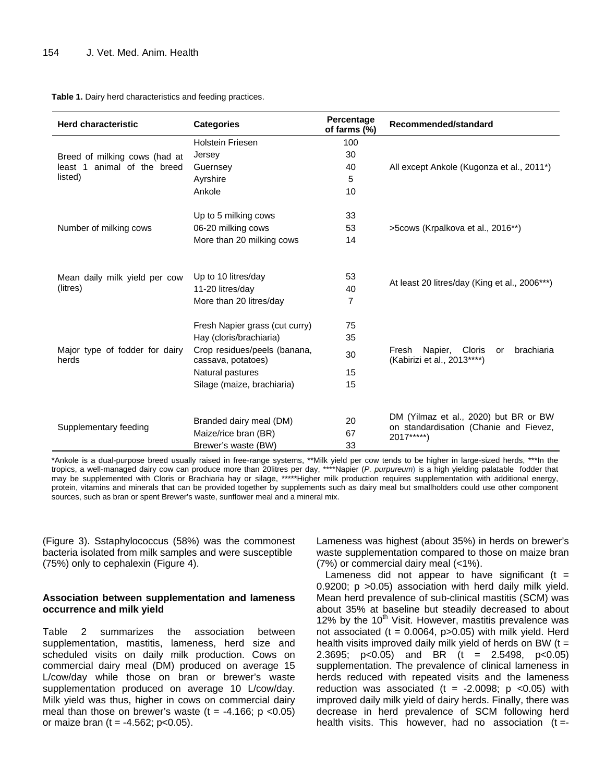| <b>Herd characteristic</b>                                                 | <b>Categories</b>                                                  | Percentage<br>of farms (%) | Recommended/standard                                                            |  |  |
|----------------------------------------------------------------------------|--------------------------------------------------------------------|----------------------------|---------------------------------------------------------------------------------|--|--|
| Breed of milking cows (had at<br>least 1<br>animal of the breed<br>listed) | <b>Holstein Friesen</b>                                            | 100                        |                                                                                 |  |  |
|                                                                            | Jersey                                                             | 30                         |                                                                                 |  |  |
|                                                                            | Guernsey                                                           | 40                         | All except Ankole (Kugonza et al., 2011*)                                       |  |  |
|                                                                            | Ayrshire                                                           | 5                          |                                                                                 |  |  |
|                                                                            | Ankole                                                             | 10                         |                                                                                 |  |  |
| Number of milking cows                                                     | Up to 5 milking cows                                               | 33                         | >5 cows (Krpalkova et al., 2016**)                                              |  |  |
|                                                                            | 06-20 milking cows                                                 | 53                         |                                                                                 |  |  |
|                                                                            | More than 20 milking cows                                          | 14                         |                                                                                 |  |  |
| Mean daily milk yield per cow<br>(litres)                                  | Up to 10 litres/day<br>11-20 litres/day<br>More than 20 litres/day | 53<br>40<br>7              | At least 20 litres/day (King et al., 2006***)                                   |  |  |
| Major type of fodder for dairy<br>herds                                    | Fresh Napier grass (cut curry)                                     | 75                         |                                                                                 |  |  |
|                                                                            | Hay (cloris/brachiaria)                                            | 35                         |                                                                                 |  |  |
|                                                                            | Crop residues/peels (banana,<br>cassava, potatoes)                 | 30                         | brachiaria<br>Napier,<br>Cloris<br>Fresh<br>or<br>(Kabirizi et al., 2013 *****) |  |  |
|                                                                            | Natural pastures                                                   | 15                         |                                                                                 |  |  |
|                                                                            | Silage (maize, brachiaria)                                         | 15                         |                                                                                 |  |  |
| Supplementary feeding                                                      | Branded dairy meal (DM)<br>Maize/rice bran (BR)                    | 20<br>67                   | DM (Yilmaz et al., 2020) but BR or BW<br>on standardisation (Chanie and Fievez, |  |  |
|                                                                            | Brewer's waste (BW)                                                | 33                         | 2017*****)                                                                      |  |  |

**Table 1.** Dairy herd characteristics and feeding practices.

\*Ankole is a dual-purpose breed usually raised in free-range systems, \*\*Milk yield per cow tends to be higher in large-sized herds, \*\*\*In the tropics, a well-managed dairy cow can produce more than 20litres per day, \*\*\*\*Napier (*P. purpureum*) is a high yielding palatable fodder that may be supplemented with Cloris or Brachiaria hay or silage, \*\*\*\*\*Higher milk production requires supplementation with additional energy, protein, vitamins and minerals that can be provided together by supplements such as dairy meal but smallholders could use other component sources, such as bran or spent Brewer's waste, sunflower meal and a mineral mix.

(Figure 3). Sstaphylococcus (58%) was the commonest bacteria isolated from milk samples and were susceptible (75%) only to cephalexin (Figure 4).

### **Association between supplementation and lameness occurrence and milk yield**

Table 2 summarizes the association between supplementation, mastitis, lameness, herd size and scheduled visits on daily milk production. Cows on commercial dairy meal (DM) produced on average 15 L/cow/day while those on bran or brewer's waste supplementation produced on average 10 L/cow/day. Milk yield was thus, higher in cows on commercial dairy meal than those on brewer's waste  $(t = -4.166; p < 0.05)$ or maize bran ( $t = -4.562$ ; p<0.05).

Lameness was highest (about 35%) in herds on brewer's waste supplementation compared to those on maize bran (7%) or commercial dairy meal (<1%).

Lameness did not appear to have significant ( $t =$ 0.9200; p >0.05) association with herd daily milk yield. Mean herd prevalence of sub-clinical mastitis (SCM) was about 35% at baseline but steadily decreased to about 12% by the  $10<sup>th</sup>$  Visit. However, mastitis prevalence was not associated  $(t = 0.0064, p > 0.05)$  with milk yield. Herd health visits improved daily milk yield of herds on BW  $(t =$ 2.3695; p<0.05) and BR (t = 2.5498, p<0.05) supplementation. The prevalence of clinical lameness in herds reduced with repeated visits and the lameness reduction was associated (t = -2.0098;  $p$  <0.05) with improved daily milk yield of dairy herds. Finally, there was decrease in herd prevalence of SCM following herd health visits. This however, had no association  $(t = -1)$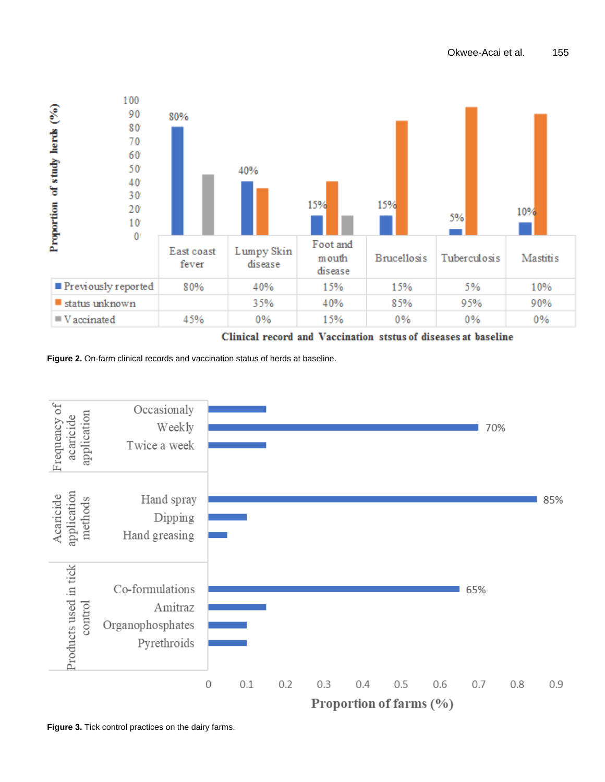

Clinical record and Vaccination ststus of diseases at baseline

Figure 2. On-farm clinical records and vaccination status of herds at baseline.



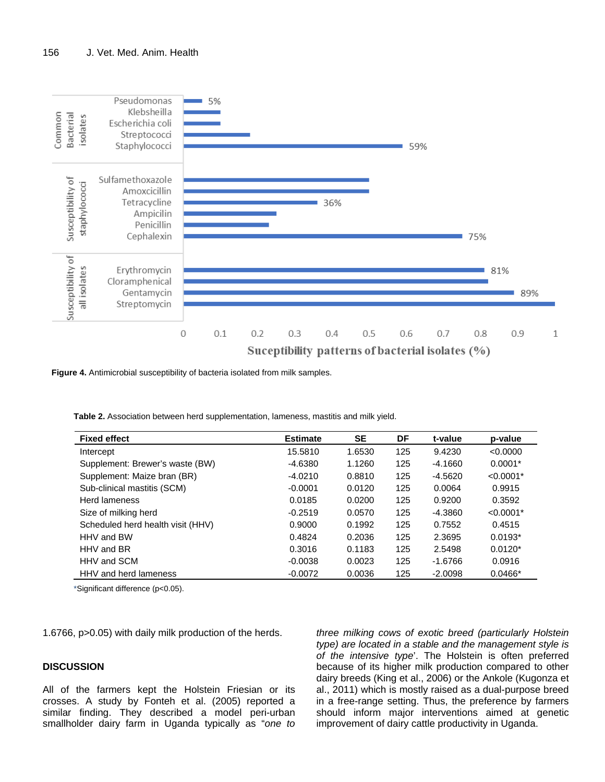

**Figure 4.** Antimicrobial susceptibility of bacteria isolated from milk samples.

**Table 2.** Association between herd supplementation, lameness, mastitis and milk yield.

| <b>Fixed effect</b>               | <b>Estimate</b> | <b>SE</b> | DF  | t-value   | p-value     |
|-----------------------------------|-----------------|-----------|-----|-----------|-------------|
| Intercept                         | 15.5810         | 1.6530    | 125 | 9.4230    | < 0.0000    |
| Supplement: Brewer's waste (BW)   | $-4.6380$       | 1.1260    | 125 | $-4.1660$ | $0.0001*$   |
| Supplement: Maize bran (BR)       | $-4.0210$       | 0.8810    | 125 | $-4.5620$ | $< 0.0001*$ |
| Sub-clinical mastitis (SCM)       | $-0.0001$       | 0.0120    | 125 | 0.0064    | 0.9915      |
| Herd lameness                     | 0.0185          | 0.0200    | 125 | 0.9200    | 0.3592      |
| Size of milking herd              | $-0.2519$       | 0.0570    | 125 | $-4.3860$ | $< 0.0001*$ |
| Scheduled herd health visit (HHV) | 0.9000          | 0.1992    | 125 | 0.7552    | 0.4515      |
| HHV and BW                        | 0.4824          | 0.2036    | 125 | 2.3695    | $0.0193*$   |
| HHV and BR                        | 0.3016          | 0.1183    | 125 | 2.5498    | $0.0120*$   |
| HHV and SCM                       | $-0.0038$       | 0.0023    | 125 | $-1.6766$ | 0.0916      |
| HHV and herd lameness             | $-0.0072$       | 0.0036    | 125 | $-2.0098$ | $0.0466*$   |

\*Significant difference (p<0.05).

1.6766, p>0.05) with daily milk production of the herds.

#### **DISCUSSION**

All of the farmers kept the Holstein Friesian or its crosses. A study by Fonteh et al. (2005) reported a similar finding. They described a model peri-urban smallholder dairy farm in Uganda typically as "*one to* 

*three milking cows of exotic breed (particularly Holstein type) are located in a stable and the management style is of the intensive type*'. The Holstein is often preferred because of its higher milk production compared to other dairy breeds (King et al., 2006) or the Ankole (Kugonza et al., 2011) which is mostly raised as a dual-purpose breed in a free-range setting. Thus, the preference by farmers should inform major interventions aimed at genetic improvement of dairy cattle productivity in Uganda.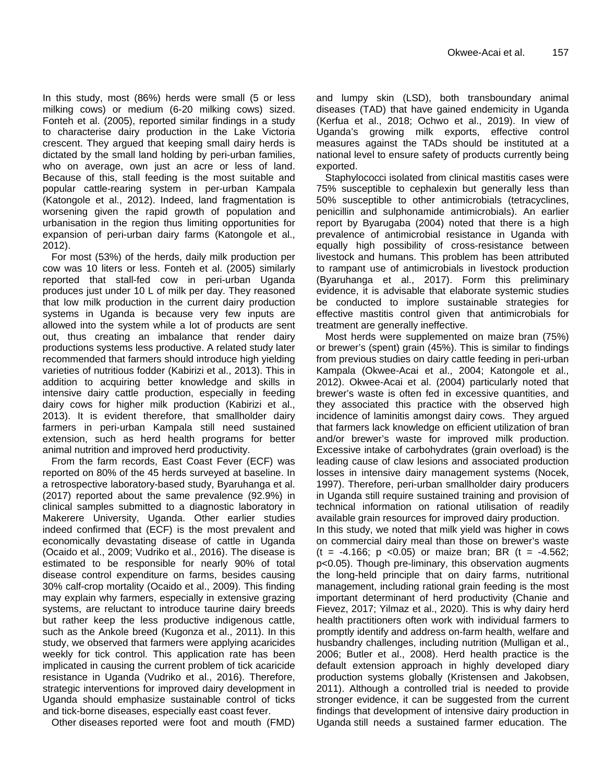In this study, most (86%) herds were small (5 or less milking cows) or medium (6-20 milking cows) sized. Fonteh et al. (2005), reported similar findings in a study to characterise dairy production in the Lake Victoria crescent. They argued that keeping small dairy herds is dictated by the small land holding by peri-urban families, who on average, own just an acre or less of land. Because of this, stall feeding is the most suitable and popular cattle-rearing system in per-urban Kampala (Katongole et al., 2012). Indeed, land fragmentation is worsening given the rapid growth of population and urbanisation in the region thus limiting opportunities for expansion of peri-urban dairy farms (Katongole et al., 2012).

For most (53%) of the herds, daily milk production per cow was 10 liters or less. Fonteh et al. (2005) similarly reported that stall-fed cow in peri-urban Uganda produces just under 10 L of milk per day. They reasoned that low milk production in the current dairy production systems in Uganda is because very few inputs are allowed into the system while a lot of products are sent out, thus creating an imbalance that render dairy productions systems less productive. A related study later recommended that farmers should introduce high yielding varieties of nutritious fodder (Kabirizi et al., 2013). This in addition to acquiring better knowledge and skills in intensive dairy cattle production, especially in feeding dairy cows for higher milk production (Kabirizi et al., 2013). It is evident therefore, that smallholder dairy farmers in peri-urban Kampala still need sustained extension, such as herd health programs for better animal nutrition and improved herd productivity.

From the farm records, East Coast Fever (ECF) was reported on 80% of the 45 herds surveyed at baseline. In a retrospective laboratory-based study, Byaruhanga et al. (2017) reported about the same prevalence (92.9%) in clinical samples submitted to a diagnostic laboratory in Makerere University, Uganda. Other earlier studies indeed confirmed that (ECF) is the most prevalent and economically devastating disease of cattle in Uganda (Ocaido et al., 2009; Vudriko et al., 2016). The disease is estimated to be responsible for nearly 90% of total disease control expenditure on farms, besides causing 30% calf-crop mortality (Ocaido et al., 2009). This finding may explain why farmers, especially in extensive grazing systems, are reluctant to introduce taurine dairy breeds but rather keep the less productive indigenous cattle, such as the Ankole breed (Kugonza et al., 2011). In this study, we observed that farmers were applying acaricides weekly for tick control. This application rate has been implicated in causing the current problem of tick acaricide resistance in Uganda (Vudriko et al., 2016). Therefore, strategic interventions for improved dairy development in Uganda should emphasize sustainable control of ticks and tick-borne diseases, especially east coast fever.

Other diseases reported were foot and mouth (FMD)

and lumpy skin (LSD), both transboundary animal diseases (TAD) that have gained endemicity in Uganda (Kerfua et al., 2018; Ochwo et al., 2019). In view of Uganda's growing milk exports, effective control measures against the TADs should be instituted at a national level to ensure safety of products currently being exported.

Staphylococci isolated from clinical mastitis cases were 75% susceptible to cephalexin but generally less than 50% susceptible to other antimicrobials (tetracyclines, penicillin and sulphonamide antimicrobials). An earlier report by Byarugaba (2004) noted that there is a high prevalence of antimicrobial resistance in Uganda with equally high possibility of cross-resistance between livestock and humans. This problem has been attributed to rampant use of antimicrobials in livestock production (Byaruhanga et al., 2017). Form this preliminary evidence, it is advisable that elaborate systemic studies be conducted to implore sustainable strategies for effective mastitis control given that antimicrobials for treatment are generally ineffective.

Most herds were supplemented on maize bran (75%) or brewer's (spent) grain (45%). This is similar to findings from previous studies on dairy cattle feeding in peri-urban Kampala (Okwee-Acai et al., 2004; Katongole et al., 2012). Okwee-Acai et al. (2004) particularly noted that brewer's waste is often fed in excessive quantities, and they associated this practice with the observed high incidence of laminitis amongst dairy cows. They argued that farmers lack knowledge on efficient utilization of bran and/or brewer's waste for improved milk production. Excessive intake of carbohydrates (grain overload) is the leading cause of claw lesions and associated production losses in intensive dairy management systems (Nocek, 1997). Therefore, peri-urban smallholder dairy producers in Uganda still require sustained training and provision of technical information on rational utilisation of readily available grain resources for improved dairy production. In this study, we noted that milk yield was higher in cows on commercial dairy meal than those on brewer's waste  $(t = -4.166; p < 0.05)$  or maize bran; BR  $(t = -4.562;$ p<0.05). Though pre-liminary, this observation augments the long-held principle that on dairy farms, nutritional management, including rational grain feeding is the most important determinant of herd productivity (Chanie and Fievez, 2017; Yilmaz et al., 2020). This is why dairy herd health practitioners often work with individual farmers to promptly identify and address on-farm health, welfare and husbandry challenges, including nutrition (Mulligan et al., 2006; Butler et al., 2008). Herd health practice is the default extension approach in highly developed diary production systems globally (Kristensen and Jakobsen, 2011). Although a controlled trial is needed to provide

stronger evidence, it can be suggested from the current findings that development of intensive dairy production in Uganda still needs a sustained farmer education. The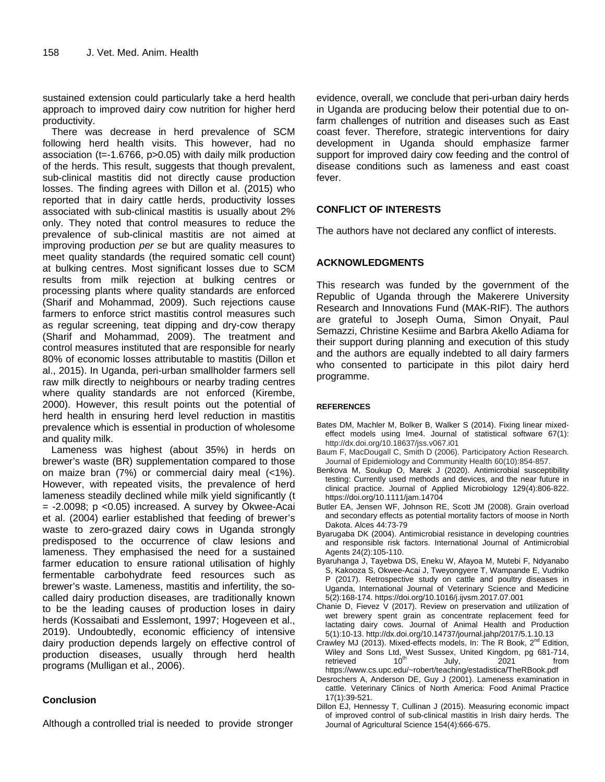sustained extension could particularly take a herd health approach to improved dairy cow nutrition for higher herd productivity.

There was decrease in herd prevalence of SCM following herd health visits. This however, had no association (t=-1.6766, p>0.05) with daily milk production of the herds. This result, suggests that though prevalent, sub-clinical mastitis did not directly cause production losses. The finding agrees with Dillon et al. (2015) who reported that in dairy cattle herds, productivity losses associated with sub-clinical mastitis is usually about 2% only. They noted that control measures to reduce the prevalence of sub-clinical mastitis are not aimed at improving production *per se* but are quality measures to meet quality standards (the required somatic cell count) at bulking centres. Most significant losses due to SCM results from milk rejection at bulking centres or processing plants where quality standards are enforced (Sharif and Mohammad, 2009). Such rejections cause farmers to enforce strict mastitis control measures such as regular screening, teat dipping and dry-cow therapy (Sharif and Mohammad, 2009). The treatment and control measures instituted that are responsible for nearly 80% of economic losses attributable to mastitis (Dillon et al., 2015). In Uganda, peri-urban smallholder farmers sell raw milk directly to neighbours or nearby trading centres where quality standards are not enforced (Kirembe, 2000). However, this result points out the potential of herd health in ensuring herd level reduction in mastitis prevalence which is essential in production of wholesome and quality milk.

Lameness was highest (about 35%) in herds on brewer's waste (BR) supplementation compared to those on maize bran (7%) or commercial dairy meal (<1%). However, with repeated visits, the prevalence of herd lameness steadily declined while milk yield significantly (t  $= -2.0098$ ; p <0.05) increased. A survey by Okwee-Acai et al. (2004) earlier established that feeding of brewer's waste to zero-grazed dairy cows in Uganda strongly predisposed to the occurrence of claw lesions and lameness. They emphasised the need for a sustained farmer education to ensure rational utilisation of highly fermentable carbohydrate feed resources such as brewer's waste. Lameness, mastitis and infertility, the socalled dairy production diseases, are traditionally known to be the leading causes of production loses in dairy herds (Kossaibati and Esslemont, 1997; Hogeveen et al., 2019). Undoubtedly, economic efficiency of intensive dairy production depends largely on effective control of production diseases, usually through herd health programs (Mulligan et al., 2006).

# **Conclusion**

Although a controlled trial is needed to provide stronger

evidence, overall, we conclude that peri-urban dairy herds in Uganda are producing below their potential due to onfarm challenges of nutrition and diseases such as East coast fever. Therefore, strategic interventions for dairy development in Uganda should emphasize farmer support for improved dairy cow feeding and the control of disease conditions such as lameness and east coast fever.

## **CONFLICT OF INTERESTS**

The authors have not declared any conflict of interests.

## **ACKNOWLEDGMENTS**

This research was funded by the government of the Republic of Uganda through the Makerere University Research and Innovations Fund (MAK-RIF). The authors are grateful to Joseph Ouma, Simon Onyait, Paul Semazzi, Christine Kesiime and Barbra Akello Adiama for their support during planning and execution of this study and the authors are equally indebted to all dairy farmers who consented to participate in this pilot dairy herd programme.

#### **REFERENCES**

- Bates DM, Machler M, Bolker B, Walker S (2014). Fixing linear mixedeffect models using lme4. Journal of statistical software 67(1): http://dx.doi.org/10.18637/jss.v067.i01
- Baum F, MacDougall C, Smith D (2006). Participatory Action Research. Journal of Epidemiology and Community Health 60(10):854-857.
- Benkova M, Soukup O, Marek J (2020). Antimicrobial susceptibility testing: Currently used methods and devices, and the near future in clinical practice. Journal of Applied Microbiology 129(4):806-822. https://doi.org/10.1111/jam.14704
- Butler EA, Jensen WF, Johnson RE, Scott JM (2008). Grain overload and secondary effects as potential mortality factors of moose in North Dakota. Alces 44:73-79
- Byarugaba DK (2004). Antimicrobial resistance in developing countries and responsible risk factors. International Journal of Antimicrobial Agents 24(2):105-110.
- Byaruhanga J, Tayebwa DS, Eneku W, Afayoa M, Mutebi F, Ndyanabo S, Kakooza S, Okwee-Acai J, Tweyongyere T, Wampande E, Vudriko P (2017). Retrospective study on cattle and poultry diseases in Uganda, International Journal of Veterinary Science and Medicine 5(2):168-174. https://doi.org/10.1016/j.ijvsm.2017.07.001
- Chanie D, Fievez V (2017). Review on preservation and utilization of wet brewery spent grain as concentrate replacement feed for lactating dairy cows. Journal of Animal Health and Production 5(1):10-13. http://dx.doi.org/10.14737/journal.jahp/2017/5.1.10.13
- Crawley MJ (2013). Mixed-effects models, In: The R Book,  $2^{n\alpha}$  Edition, Wiley and Sons Ltd, West Sussex, United Kingdom, pg 681-714, retrieved  $10^{\text{th}}$  July. 2021 from retrieved  $10^{th}$  July, 2021 from https://www.cs.upc.edu/~robert/teaching/estadistica/TheRBook.pdf
- Desrochers A, Anderson DE, Guy J (2001). Lameness examination in cattle. Veterinary Clinics of North America: Food Animal Practice 17(1):39-521.
- Dillon EJ, Hennessy T, Cullinan J (2015). Measuring economic impact of improved control of sub-clinical mastitis in Irish dairy herds. The Journal of Agricultural Science 154(4):666-675.